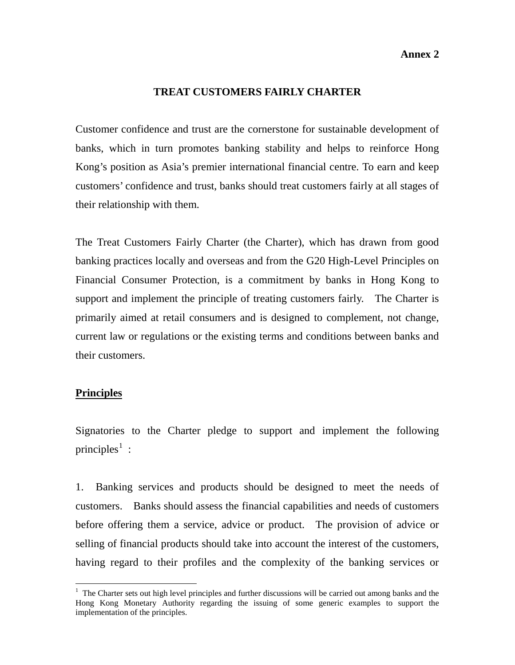**Annex 2**

## **TREAT CUSTOMERS FAIRLY CHARTER**

Customer confidence and trust are the cornerstone for sustainable development of banks, which in turn promotes banking stability and helps to reinforce Hong Kong's position as Asia's premier international financial centre. To earn and keep customers' confidence and trust, banks should treat customers fairly at all stages of their relationship with them.

The Treat Customers Fairly Charter (the Charter), which has drawn from good banking practices locally and overseas and from the G20 High-Level Principles on Financial Consumer Protection, is a commitment by banks in Hong Kong to support and implement the principle of treating customers fairly. The Charter is primarily aimed at retail consumers and is designed to complement, not change, current law or regulations or the existing terms and conditions between banks and their customers.

## **Principles**

 $\overline{a}$ 

Signatories to the Charter pledge to support and implement the following principles<sup>[1](#page-0-0)</sup>:

1. Banking services and products should be designed to meet the needs of customers. Banks should assess the financial capabilities and needs of customers before offering them a service, advice or product. The provision of advice or selling of financial products should take into account the interest of the customers, having regard to their profiles and the complexity of the banking services or

<span id="page-0-0"></span> $1$  The Charter sets out high level principles and further discussions will be carried out among banks and the Hong Kong Monetary Authority regarding the issuing of some generic examples to support the implementation of the principles.